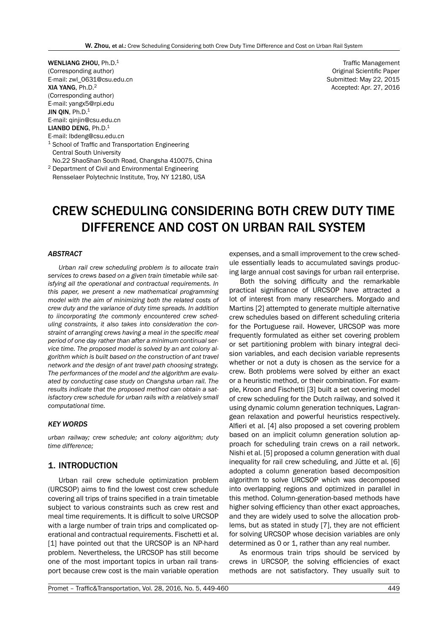WENLIANG ZHOU, Ph.D.<sup>1</sup> (Corresponding author) E-mail: zwl\_0631@csu.edu.cn XIA YANG, Ph.D.<sup>2</sup> (Corresponding author) E-mail: yangx5@rpi.edu JIN QIN, Ph.D.<sup>1</sup> E-mail: qinjin@csu.edu.cn **LIANBO DENG, Ph.D.**<sup>1</sup> E-mail: lbdeng@csu.edu.cn

<sup>1</sup> School of Traffic and Transportation Engineering Central South University

No.22 ShaoShan South Road, Changsha 410075, China <sup>2</sup> Department of Civil and Environmental Engineering

Rensselaer Polytechnic Institute, Troy, NY 12180, USA

Traffic Management Original Scientific Paper Submitted: May 22, 2015 Accepted: Apr. 27, 2016

# CREW SCHEDULING CONSIDERING BOTH CREW DUTY TIME DIFFERENCE AND COST ON URBAN RAIL SYSTEM

## *ABSTRACT*

*Urban rail crew scheduling problem is to allocate train services to crews based on a given train timetable while satisfying all the operational and contractual requirements. In this paper, we present a new mathematical programming model with the aim of minimizing both the related costs of crew duty and the variance of duty time spreads. In addition to iincorporating the commonly encountered crew scheduling constraints, it also takes into consideration the constraint of arranging crews having a meal in the specific meal period of one day rather than after a minimum continual service time. The proposed model is solved by an ant colony algorithm which is built based on the construction of ant travel network and the design of ant travel path choosing strategy. The performances of the model and the algorithm are evaluated by conducting case study on Changsha urban rail. The results indicate that the proposed method can obtain a satisfactory crew schedule for urban rails with a relatively small computational time.*

#### *KEY WORDS*

*urban railway; crew schedule; ant colony algorithm; duty time difference;*

# 1. INTRODUCTION

Urban rail crew schedule optimization problem (URCSOP) aims to find the lowest cost crew schedule covering all trips of trains specified in a train timetable subject to various constraints such as crew rest and meal time requirements. It is difficult to solve URCSOP with a large number of train trips and complicated operational and contractual requirements. Fischetti et al. [1] have pointed out that the URCSOP is an NP-hard problem. Nevertheless, the URCSOP has still become one of the most important topics in urban rail transport because crew cost is the main variable operation expenses, and a small improvement to the crew schedule essentially leads to accumulated savings producing large annual cost savings for urban rail enterprise.

Both the solving difficulty and the remarkable practical significance of URCSOP have attracted a lot of interest from many researchers. Morgado and Martins [2] attempted to generate multiple alternative crew schedules based on different scheduling criteria for the Portuguese rail. However, URCSOP was more frequently formulated as either set covering problem or set partitioning problem with binary integral decision variables, and each decision variable represents whether or not a duty is chosen as the service for a crew. Both problems were solved by either an exact or a heuristic method, or their combination. For example, Kroon and Fischetti [3] built a set covering model of crew scheduling for the Dutch railway, and solved it using dynamic column generation techniques, Lagrangean relaxation and powerful heuristics respectively. Alfieri et al. [4] also proposed a set covering problem based on an implicit column generation solution approach for scheduling train crews on a rail network. Nishi et al. [5] proposed a column generation with dual inequality for rail crew scheduling, and Jütte et al. [6] adopted a column generation based decomposition algorithm to solve URCSOP which was decomposed into overlapping regions and optimized in parallel in this method. Column-generation-based methods have higher solving efficiency than other exact approaches, and they are widely used to solve the allocation problems, but as stated in study [7], they are not efficient for solving URCSOP whose decision variables are only determined as 0 or 1, rather than any real number.

As enormous train trips should be serviced by crews in URCSOP, the solving efficiencies of exact methods are not satisfactory. They usually suit to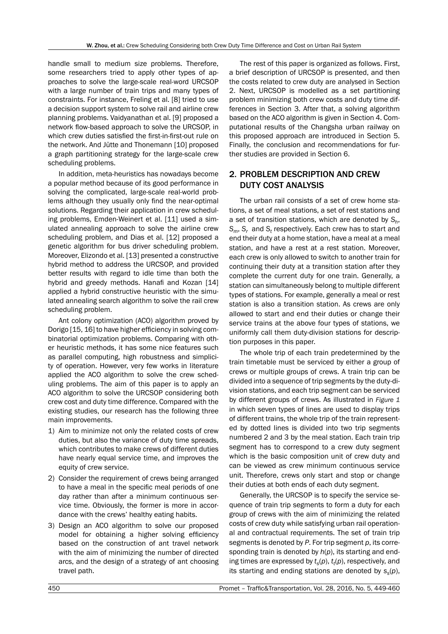handle small to medium size problems. Therefore, some researchers tried to apply other types of approaches to solve the large-scale real-word URCSOP with a large number of train trips and many types of constraints. For instance, Freling et al. [8] tried to use a decision support system to solve rail and airline crew planning problems. Vaidyanathan et al. [9] proposed a network flow-based approach to solve the URCSOP, in which crew duties satisfied the first-in-first-out rule on the network. And Jütte and Thonemann [10] proposed a graph partitioning strategy for the large-scale crew scheduling problems.

In addition, meta-heuristics has nowadays become a popular method because of its good performance in solving the complicated, large-scale real-world problems although they usually only find the near-optimal solutions. Regarding their application in crew scheduling problems, Emden-Weinert et al. [11] used a simulated annealing approach to solve the airline crew scheduling problem, and Dias et al. [12] proposed a genetic algorithm for bus driver scheduling problem. Moreover, Elizondo et al. [13] presented a constructive hybrid method to address the URCSOP, and provided better results with regard to idle time than both the hybrid and greedy methods. Hanafi and Kozan [14] applied a hybrid constructive heuristic with the simulated annealing search algorithm to solve the rail crew scheduling problem.

Ant colony optimization (ACO) algorithm proved by Dorigo [15, 16] to have higher efficiency in solving combinatorial optimization problems. Comparing with other heuristic methods, it has some nice features such as parallel computing, high robustness and simplicity of operation. However, very few works in literature applied the ACO algorithm to solve the crew scheduling problems. The aim of this paper is to apply an ACO algorithm to solve the URCSOP considering both crew cost and duty time difference. Compared with the existing studies, our research has the following three main improvements.

- 1) Aim to minimize not only the related costs of crew duties, but also the variance of duty time spreads, which contributes to make crews of different duties have nearly equal service time, and improves the equity of crew service.
- 2) Consider the requirement of crews being arranged to have a meal in the specific meal periods of one day rather than after a minimum continuous service time. Obviously, the former is more in accordance with the crews' healthy eating habits.
- 3) Design an ACO algorithm to solve our proposed model for obtaining a higher solving efficiency based on the construction of ant travel network with the aim of minimizing the number of directed arcs, and the design of a strategy of ant choosing travel path.

The rest of this paper is organized as follows. First, a brief description of URCSOP is presented, and then the costs related to crew duty are analysed in Section 2. Next, URCSOP is modelled as a set partitioning problem minimizing both crew costs and duty time differences in Section 3. After that, a solving algorithm based on the ACO algorithm is given in Section 4. Computational results of the Changsha urban railway on this proposed approach are introduced in Section 5. Finally, the conclusion and recommendations for further studies are provided in Section 6.

# 2. PROBLEM DESCRIPTION AND CREW DUTY COST ANALYSIS

The urban rail consists of a set of crew home stations, a set of meal stations, a set of rest stations and a set of transition stations, which are denoted by *Sh*, *Sm*, *Sr* and *St* respectively. Each crew has to start and end their duty at a home station, have a meal at a meal station, and have a rest at a rest station. Moreover, each crew is only allowed to switch to another train for continuing their duty at a transition station after they complete the current duty for one train. Generally, a station can simultaneously belong to multiple different types of stations. For example, generally a meal or rest station is also a transition station. As crews are only allowed to start and end their duties or change their service trains at the above four types of stations, we uniformly call them duty-division stations for description purposes in this paper.

The whole trip of each train predetermined by the train timetable must be serviced by either a group of crews or multiple groups of crews. A train trip can be divided into a sequence of trip segments by the duty-division stations, and each trip segment can be serviced by different groups of crews. As illustrated in *Figure 1* in which seven types of lines are used to display trips of different trains, the whole trip of the train represented by dotted lines is divided into two trip segments numbered 2 and 3 by the meal station. Each train trip segment has to correspond to a crew duty segment which is the basic composition unit of crew duty and can be viewed as crew minimum continuous service unit. Therefore, crews only start and stop or change their duties at both ends of each duty segment.

Generally, the URCSOP is to specify the service sequence of train trip segments to form a duty for each group of crews with the aim of minimizing the related costs of crew duty while satisfying urban rail operational and contractual requirements. The set of train trip segments is denoted by *P*. For trip segment *p*, its corresponding train is denoted by *h*(*p*), its starting and ending times are expressed by  $t_s(p)$ ,  $t_t(p)$ , respectively, and its starting and ending stations are denoted by  $s_{s}(p)$ ,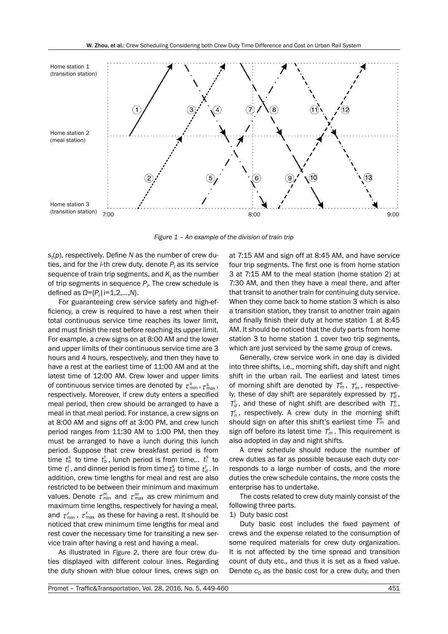

*Figure 1 – An example of the division of train trip*

*st* (*p*), respectively. Define *N* as the number of crew duties, and for the *i*-th crew duty, denote *Pi* as its service sequence of train trip segments, and  $\kappa_{\scriptscriptstyle I}$  as the number of trip segments in sequence *Pi* . The crew schedule is defined as *Ω*={*Pi* |i=1,2,…,*N*}.

For guaranteeing crew service safety and high-efficiency, a crew is required to have a rest when their total continuous service time reaches its lower limit, and must finish the rest before reaching its upper limit. For example, a crew signs on at 8:00 AM and the lower and upper limits of their continuous service time are 3 hours and 4 hours, respectively, and then they have to have a rest at the earliest time of 11:00 AM and at the latest time of 12:00 AM. Crew lower and upper limits of continuous service times are denoted by  $\tau_{\min}^s$ ,  $\tau_{\max}^s$ , respectively. Moreover, if crew duty enters a specified meal period, then crew should be arranged to have a meal in that meal period. For instance, a crew signs on at 8:00 AM and signs off at 3:00 PM, and crew lunch period ranges from 11:30 AM to 1:00 PM, then they must be arranged to have a lunch during this lunch period. Suppose that crew breakfast period is from  $\mathbf{f}_b^{\text{s}}$  to time  $\mathbf{f}_b^{\text{t}}$ , lunch period is from time...  $\mathbf{f}_l^{\text{s}}$  to  $t_l^t$ , and dinner period is from time  $t_d^s$  to time  $t_d^t$  . In addition, crew time lengths for meal and rest are also restricted to be between their minimum and maximum values. Denote  $\tau_{\min}^m$  and  $\tau_{\max}^m$  as crew minimum and maximum time lengths, respectively for having a meal, and  $\tau_{\min}^r$ ,  $\tau_{\max}^r$  as these for having a rest. It should be noticed that crew minimum time lengths for meal and rest cover the necessary time for transiting a new service train after having a rest and having a meal.

As illustrated in *Figure 2*, there are four crew duties displayed with different colour lines. Regarding the duty shown with blue colour lines, crews sign on at 7:15 AM and sign off at 8:45 AM, and have service four trip segments. The first one is from home station 3 at 7:15 AM to the meal station (home station 2) at 7:30 AM, and then they have a meal there, and after that transit to another train for continuing duty service. When they come back to home station 3 which is also a transition station, they transit to another train again and finally finish their duty at home station 1 at 8:45 AM. It should be noticed that the duty parts from home station 3 to home station 1 cover two trip segments, which are just serviced by the same group of crews.

Generally, crew service work in one day is divided into three shifts, i.e., morning shift, day shift and night shift in the urban rail. The earliest and latest times of morning shift are denoted by  $T_m^e$ ,  $T_m^l$ , respectively, these of day shift are separately expressed by  $T_d^e$ ,  $T_d$ , and these of night shift are described with  $T_n^e$ ,  $T_n^l$ , respectively. A crew duty in the morning shift should sign on after this shift's earliest time  $\overline{I}_m^e$  and sign off before its latest time  $T_m^l$ . This requirement is also adopted in day and night shifts.

A crew schedule should reduce the number of crew duties as far as possible because each duty corresponds to a large number of costs, and the more duties the crew schedule contains, the more costs the enterprise has to undertake.

The costs related to crew duty mainly consist of the following three parts.

#### 1) Duty basic cost

Duty basic cost includes the fixed payment of crews and the expense related to the consumption of some required materials for crew duty organization. It is not affected by the time spread and transition count of duty etc., and thus it is set as a fixed value. Denote  $c_0$  as the basic cost for a crew duty, and then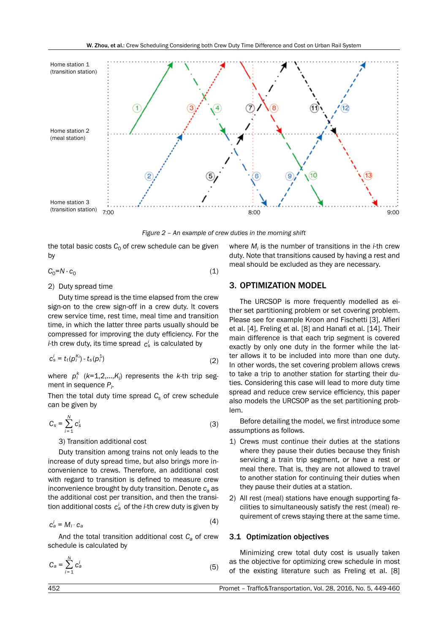

*Figure 2 – An example of crew duties in the morning shift*

the total basic costs  $C_0$  of crew schedule can be given by

$$
C_0 = N \cdot c_0 \tag{1}
$$

## 2) Duty spread time

Duty time spread is the time elapsed from the crew sign-on to the crew sign-off in a crew duty. It covers crew service time, rest time, meal time and transition time, in which the latter three parts usually should be compressed for improving the duty efficiency. For the *i*-th crew duty, its time spread  $c_s^i$  is calculated by

$$
c_s^i = t_t(\rho_i^{K_i}) - t_s(\rho_i^1) \tag{2}
$$

where  $p_i^k$  ( $k=1,2,...,K_i$ ) represents the *k*-th trip segment in sequence *Pi* .

Then the total duty time spread  $C_s$  of crew schedule can be given by

$$
C_{\rm s} = \sum_{i=1}^{N} c_{\rm s}^i \tag{3}
$$

3) Transition additional cost

Duty transition among trains not only leads to the increase of duty spread time, but also brings more inconvenience to crews. Therefore, an additional cost with regard to transition is defined to measure crew inconvenience brought by duty transition. Denote  $c_a$  as the additional cost per transition, and then the transition additional costs *ca <sup>i</sup>* of the *i*-th crew duty is given by

$$
c_a^i = M_i \cdot c_a \tag{4}
$$

And the total transition additional cost  $C_a$  of crew schedule is calculated by

$$
C_a = \sum_{i=1}^{N} c_a^i \tag{5}
$$

where *Mi* is the number of transitions in the *i*-th crew duty. Note that transitions caused by having a rest and meal should be excluded as they are necessary.

# 3. OPTIMIZATION MODEL

The URCSOP is more frequently modelled as either set partitioning problem or set covering problem. Please see for example Kroon and Fischetti [3], Alfieri et al. [4], Freling et al. [8] and Hanafi et al. [14]. Their main difference is that each trip segment is covered exactly by only one duty in the former while the latter allows it to be included into more than one duty. In other words, the set covering problem allows crews to take a trip to another station for starting their duties. Considering this case will lead to more duty time spread and reduce crew service efficiency, this paper also models the URCSOP as the set partitioning problem.

Before detailing the model, we first introduce some assumptions as follows.

- 1) Crews must continue their duties at the stations where they pause their duties because they finish servicing a train trip segment, or have a rest or meal there. That is, they are not allowed to travel to another station for continuing their duties when they pause their duties at a station.
- 2) All rest (meal) stations have enough supporting facilities to simultaneously satisfy the rest (meal) requirement of crews staying there at the same time.

#### 3.1 Optimization objectives

Minimizing crew total duty cost is usually taken as the objective for optimizing crew schedule in most of the existing literature such as Freling et al. [8]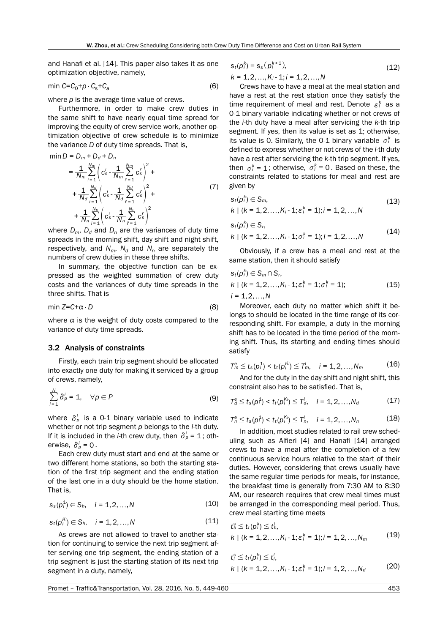(7)

and Hanafi et al. [14]. This paper also takes it as one optimization objective, namely,

$$
\min C = C_0 + \rho \cdot C_s + C_a \tag{6}
$$

where *ρ* is the average time value of crews.

Furthermore, in order to make crew duties in the same shift to have nearly equal time spread for improving the equity of crew service work, another optimization objective of crew schedule is to minimize the variance *D* of duty time spreads. That is,

$$
\begin{aligned}\n\min D &= D_m + D_d + D_n \\
&= \frac{1}{N_m} \sum_{i=1}^{N_m} \left( c_s^i - \frac{1}{N_m} \sum_{i=1}^{N_m} c_s^i \right)^2 + \\
&+ \frac{1}{N_d} \sum_{i=1}^{N_d} \left( c_s^i - \frac{1}{N_d} \sum_{i=1}^{N_d} c_s^i \right)^2 + \n\end{aligned}
$$

$$
+\frac{1}{N_n}\sum_{i=1}^{N_n}\left(c_s^i - \frac{1}{N_n}\sum_{i=1}^{N_n} c_s^i\right)^2
$$
  
where  $D_m$ ,  $D_d$  and  $D_n$  are the variances of duty time  
spreads in the morning shift, day shift and night shift,  
respectively, and  $N_m$ ,  $N_d$  and  $N_n$  are separately the  
numbers of crew duties in these three shifts.

In summary, the objective function can be expressed as the weighted summation of crew duty costs and the variances of duty time spreads in the three shifts. That is

$$
\min Z = C + \alpha \cdot D \tag{8}
$$

where  $\alpha$  is the weight of duty costs compared to the variance of duty time spreads.

#### 3.2 Analysis of constraints

Firstly, each train trip segment should be allocated into exactly one duty for making it serviced by a group of crews, namely,

$$
\sum_{i=1}^{N} \delta_p^i = 1, \quad \forall p \in P
$$
 (9)

where  $\delta^i_p$  is a 0-1 binary variable used to indicate whether or not trip segment *p* belongs to the *i*-th duty. If it is included in the *i*-th crew duty, then  $\delta_p^i = 1$ ; otherwise,  $\delta^i_n = 0$ .

Each crew duty must start and end at the same or two different home stations, so both the starting station of the first trip segment and the ending station of the last one in a duty should be the home station. That is,

$$
s_s(p_i^1) \in S_h, \quad i = 1, 2, ..., N \tag{10}
$$

$$
s_t(p_i^{K_i}) \in S_h, \quad i = 1, 2, ..., N \tag{11}
$$

As crews are not allowed to travel to another station for continuing to service the next trip segment after serving one trip segment, the ending station of a trip segment is just the starting station of its next trip segment in a duty, namely,

$$
s_t(p_i^k) = s_s(p_i^{k+1}),
$$
  
\n
$$
k = 1, 2, ..., K_i - 1; i = 1, 2, ..., N
$$
\n(12)

Crews have to have a meal at the meal station and have a rest at the rest station once they satisfy the time requirement of meal and rest. Denote  $\varepsilon_i^k$  as a 0-1 binary variable indicating whether or not crews of the *i*-th duty have a meal after servicing the *k*-th trip segment. If yes, then its value is set as 1; otherwise, its value is 0. Similarly, the 0-1 binary variable  $\sigma_i^k$  is defined to express whether or not crews of the *i*-th duty have a rest after servicing the *k*-th trip segment. If yes, then  $\sigma_i^k = 1$ ; otherwise,  $\sigma_i^k = 0$ . Based on these, the constraints related to stations for meal and rest are given by

$$
s_t(p_i^k) \in S_m,
$$
  
\n
$$
k \mid (k = 1, 2, ..., K_i - 1; \varepsilon_i^k = 1); i = 1, 2, ..., N
$$
\n(13)

$$
s_t(p_i^k) \in S_r,
$$
  
\n
$$
k \mid (k = 1, 2, ..., K_i - 1; \sigma_i^k = 1); i = 1, 2, ..., N
$$
\n(14)

Obviously, if a crew has a meal and rest at the same station, then it should satisfy

$$
s_t(p_i^k) \in S_m \cap S_r,
$$
  
\n
$$
k \mid (k = 1, 2, ..., K_i - 1; \varepsilon_i^k = 1; \sigma_i^k = 1);
$$
  
\n
$$
i = 1, 2, ..., N
$$
\n(15)

Moreover, each duty no matter which shift it belongs to should be located in the time range of its corresponding shift. For example, a duty in the morning shift has to be located in the time period of the morning shift. Thus, its starting and ending times should satisfy

$$
T_m^{\rm e} \le t_s(p_i^1) < t_t(p_i^{K_i}) \le T_m^1, \quad i = 1, 2, \dots, N_m \tag{16}
$$

And for the duty in the day shift and night shift, this constraint also has to be satisfied. That is,

$$
T_d^e \le t_s(p_i^1) < t_t(p_i^{K_i}) \le T_d^i, \quad i = 1, 2, ..., N_d \tag{17}
$$

$$
T_n^e \le t_s(p_i^1) < t_t(p_i^{K_i}) \le T_n^i, \quad i = 1, 2, ..., N_n \tag{18}
$$

In addition, most studies related to rail crew scheduling such as Alfieri [4] and Hanafi [14] arranged crews to have a meal after the completion of a few continuous service hours relative to the start of their duties. However, considering that crews usually have the same regular time periods for meals, for instance, the breakfast time is generally from 7:30 AM to 8:30 AM, our research requires that crew meal times must be arranged in the corresponding meal period. Thus, crew meal starting time meets

$$
t_b^s \le t_t(p_i^k) \le t_b^t, \n k \mid (k = 1, 2, ..., K_i - 1; \varepsilon_i^k = 1); i = 1, 2, ..., N_m
$$
\n(19)

$$
t_i^s \le t_t(\rho_i^k) \le t_i^t, k \mid (k = 1, 2, ..., K_i - 1; \varepsilon_i^k = 1); i = 1, 2, ..., N_d
$$
 (20)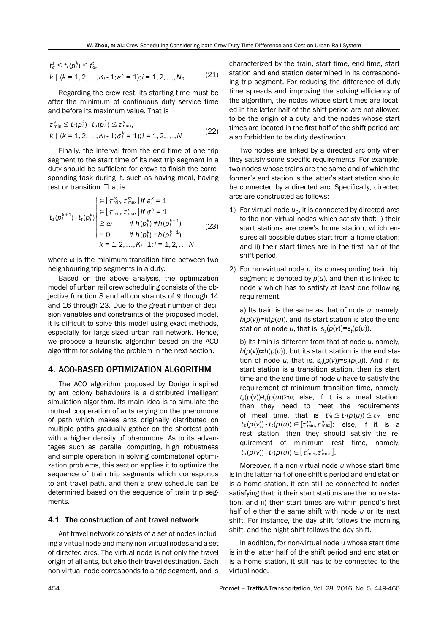$$
t_d^s \le t_t(p_i^k) \le t_d^t,
$$
  
\n
$$
k \mid (k = 1, 2, ..., K_i - 1; \varepsilon_i^k = 1); i = 1, 2, ..., N_n
$$
 (21)

Regarding the crew rest, its starting time must be after the minimum of continuous duty service time and before its maximum value. That is

$$
\tau_{\min}^s \le t_t(p_i^k) - t_s(p_i^1) \le \tau_{\max}^s,k \mid (k = 1, 2, ..., K_i - 1; \sigma_i^k = 1); i = 1, 2, ..., N
$$
\n(22)

Finally, the interval from the end time of one trip segment to the start time of its next trip segment in a duty should be sufficient for crews to finish the corresponding task during it, such as having meal, having rest or transition. That is

$$
t_{s}(p_{i}^{k+1}) - t_{t}(p_{i}^{k}) \begin{cases} \in [\tau_{\min}^{m}, \tau_{\max}^{m}] \text{ if } \epsilon_{i}^{k} = 1 \\ \in [\tau_{\min}, \tau_{\max}] \text{ if } \sigma_{i}^{k} = 1 \\ \geq \omega \quad \text{ if } h(p_{i}^{k}) \neq h(p_{i}^{k+1}) \\ = 0 \quad \text{ if } h(p_{i}^{k}) = h(p_{i}^{k+1}) \\ k = 1, 2, ..., K_{i} - 1; i = 1, 2, ..., N \end{cases} \tag{23}
$$

where *ω* is the minimum transition time between two neighbouring trip segments in a duty.

Based on the above analysis, the optimization model of urban rail crew scheduling consists of the objective function 8 and all constraints of *9* through 14 and 16 through 23. Due to the great number of decision variables and constraints of the proposed model, it is difficult to solve this model using exact methods, especially for large-sized urban rail network. Hence, we propose a heuristic algorithm based on the ACO algorithm for solving the problem in the next section.

# 4. ACO-BASED OPTIMIZATION ALGORITHM

The ACO algorithm proposed by Dorigo inspired by ant colony behaviours is a distributed intelligent simulation algorithm. Its main idea is to simulate the mutual cooperation of ants relying on the pheromone of path which makes ants originally distributed on multiple paths gradually gather on the shortest path with a higher density of pheromone. As to its advantages such as parallel computing, high robustness and simple operation in solving combinatorial optimization problems, this section applies it to optimize the sequence of train trip segments which corresponds to ant travel path, and then a crew schedule can be determined based on the sequence of train trip segments.

## 4.1 The construction of ant travel network

Ant travel network consists of a set of nodes including a virtual node and many non-virtual nodes and a set of directed arcs. The virtual node is not only the travel origin of all ants, but also their travel destination. Each non-virtual node corresponds to a trip segment, and is characterized by the train, start time, end time, start station and end station determined in its corresponding trip segment. For reducing the difference of duty time spreads and improving the solving efficiency of the algorithm, the nodes whose start times are located in the latter half of the shift period are not allowed to be the origin of a duty, and the nodes whose start times are located in the first half of the shift period are also forbidden to be duty destination.

Two nodes are linked by a directed arc only when they satisfy some specific requirements. For example, two nodes whose trains are the same and of which the former's end station is the latter's start station should be connected by a directed arc. Specifically, directed arcs are constructed as follows:

- 1) For virtual node  $u_0$ , it is connected by directed arcs to the non-virtual nodes which satisfy that: i) their start stations are crew's home station, which ensures all possible duties start from a home station; and ii) their start times are in the first half of the shift period.
- 2) For non-virtual node *u*, its corresponding train trip segment is denoted by *p*(*u*), and then it is linked to node *v* which has to satisfy at least one following requirement.

a) Its train is the same as that of node *u*, namely,  $h(p(v)) = h(p(u))$ , and its start station is also the end station of node *u*, that is,  $s_s(p(v)) = s_t(p(u))$ .

b) Its train is different from that of node *u*, namely,  $h(p(v)) \neq h(p(u))$ , but its start station is the end station of node *u*, that is,  $s_s(p(v)) = s_t(p(u))$ . And if its start station is a transition station, then its start time and the end time of node *u* have to satisfy the requirement of minimum transition time, namely, *ts*(*p*(*v*))-*tt* (*p*(*u*))≥*ω*; else, if it is a meal station, then they need to meet the requirements of meal time, that is  $t_m^s \le t_t(p(u)) \le t_m^t$  and  $t_s(p(v)) - t_t(p(u)) \in [\tau^m_{min}, \tau^m_{max}]$ ; else, if it is a rest station, then they should satisfy the requirement of minimum rest time, namely,  $t_s(p(v))$  -  $t_t(p(u)) \in [\tau'_{\min}, \tau'_{\max}]$ .

Moreover, if a non-virtual node *u* whose start time is in the latter half of one shift's period and end station is a home station, it can still be connected to nodes satisfying that: i) their start stations are the home station, and ii) their start times are within period's first half of either the same shift with node *u* or its next shift. For instance, the day shift follows the morning shift, and the night shift follows the day shift.

In addition, for non-virtual node u whose start time is in the latter half of the shift period and end station is a home station, it still has to be connected to the virtual node.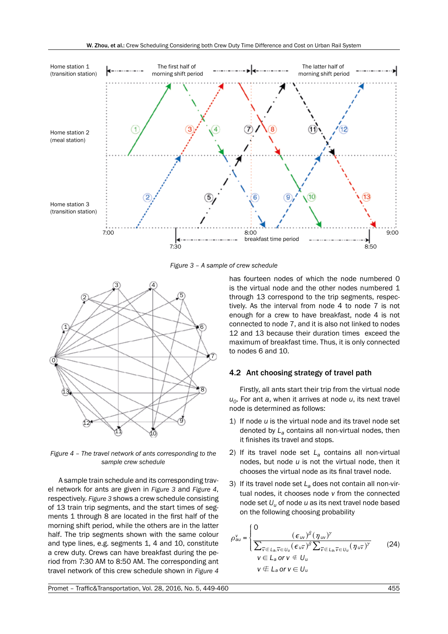

*Figure 3 – A sample of crew schedule*



*Figure 4 – The travel network of ants corresponding to the sample crew schedule*

A sample train schedule and its corresponding travel network for ants are given in *Figure 3* and *Figure 4*, respectively. *Figure 3* shows a crew schedule consisting of 13 train trip segments, and the start times of segments 1 through 8 are located in the first half of the morning shift period, while the others are in the latter half. The trip segments shown with the same colour and type lines, e.g. segments 1, 4 and 10, constitute a crew duty. Crews can have breakfast during the period from 7:30 AM to 8:50 AM. The corresponding ant travel network of this crew schedule shown in *Figure 4* has fourteen nodes of which the node numbered 0 is the virtual node and the other nodes numbered 1 through 13 correspond to the trip segments, respectively. As the interval from node 4 to node 7 is not enough for a crew to have breakfast, node 4 is not connected to node 7, and it is also not linked to nodes 12 and 13 because their duration times exceed the maximum of breakfast time. Thus, it is only connected to nodes 6 and 10.

# 4.2 Ant choosing strategy of travel path

Firstly, all ants start their trip from the virtual node *u0*. For ant *a*, when it arrives at node *u*, its next travel node is determined as follows:

- 1) If node *u* is the virtual node and its travel node set denoted by *La* contains all non-virtual nodes, then it finishes its travel and stops.
- 2) If its travel node set *La* contains all non-virtual nodes, but node *u* is not the virtual node, then it chooses the virtual node as its final travel node.
- 3) If its travel node set *La* does not contain all non-virtual nodes, it chooses node *v* from the connected node set *Uu* of node *u* as its next travel node based on the following choosing probability

$$
\rho_{au}^{v} = \begin{cases}\n0 & (\epsilon_{uv})^{\beta} (\eta_{uv})^{\gamma} \\
\overline{\sum_{\overline{v} \in L_a, \overline{v} \in U_u} (\epsilon_{u\overline{v}})^{\beta} \sum_{\overline{v} \in L_a, \overline{v} \in U_u} (\eta_{u\overline{v}})^{\gamma}} & (24) \\
v \in L_a \text{ or } v \notin U_u & \\
v \notin L_a \text{ or } v \in U_u\n\end{cases}
$$

Promet – Traffic&Transportation, Vol. 28, 2016, No. 5, 449-460 455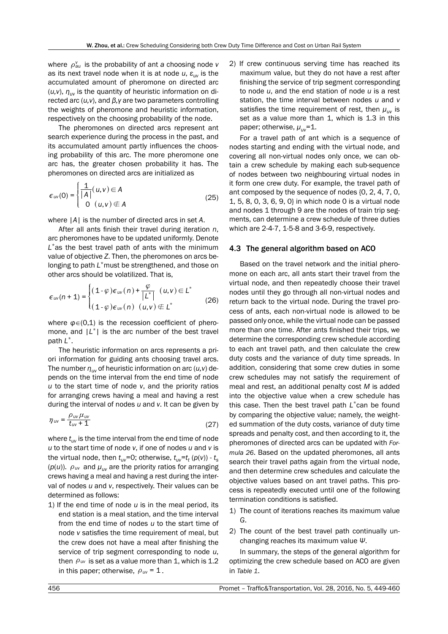*where*  $\rho_{\textit{au}}^{\textit{v}}$  *is the probability of ant <i>a* choosing node *ν* as its next travel node when it is at node *u*, *εuν* is the accumulated amount of pheromone on directed arc  $(u, v)$ ,  $\eta_{uv}$  is the quantity of heuristic information on directed arc (*u,ν*), and *β,γ* are two parameters controlling the weights of pheromone and heuristic information, respectively on the choosing probability of the node.

The pheromones on directed arcs represent ant search experience during the process in the past, and its accumulated amount partly influences the choosing probability of this arc. The more pheromone one arc has, the greater chosen probability it has. The pheromones on directed arcs are initialized as

$$
\epsilon_{uv}(0) = \begin{cases} \frac{1}{|A|}(u,v) \in A \\ 0 \quad (u,v) \notin A \end{cases}
$$
 (25)

where |*A*| is the number of directed arcs in set *A*.

After all ants finish their travel during iteration *n*, arc pheromones have to be updated uniformly. Denote *L*\*as the best travel path of ants with the minimum value of objective *Z*. Then, the pheromones on arcs belonging to path *L*\*must be strengthened, and those on other arcs should be volatilized. That is,

$$
\epsilon_{uv}(n+1) = \begin{cases} (1-\varphi)\epsilon_{uv}(n) + \frac{\varphi}{\left|L^*\right|} & (u,v) \in L^* \\ (1-\varphi)\epsilon_{uv}(n) & (u,v) \notin L^* \end{cases}
$$
 (26)

where  $\varphi \in (0,1)$  is the recession coefficient of pheromone, and  $|L^*|$  is the arc number of the best travel path *L*\*.

The heuristic information on arcs represents a priori information for guiding ants choosing travel arcs. The number *ηuν* of heuristic information on arc (*u,ν*) depends on the time interval from the end time of node *u* to the start time of node *v*, and the priority ratios for arranging crews having a meal and having a rest during the interval of nodes *u* and *v*. It can be given by

$$
\eta_{uv} = \frac{\rho_{uv}\mu_{uv}}{t_{uv} + 1} \tag{27}
$$

where *tuν* is the time interval from the end time of node *u* to the start time of node *v*, if one of nodes *u* and *v* is the virtual node, then *tuν*=0; otherwise, *tuν*=*tt* (*p*(*v*)) - *ts* ( $p(u)$ ).  $\rho_{uv}$  and  $\mu_{uv}$  are the priority ratios for arranging crews having a meal and having a rest during the interval of nodes *u* and *v*, respectively. Their values can be determined as follows:

1) If the end time of node *u* is in the meal period, its end station is a meal station, and the time interval from the end time of nodes *u* to the start time of node *v* satisfies the time requirement of meal, but the crew does not have a meal after finishing the service of trip segment corresponding to node *u*, then  $\rho_{\text{uv}}$  is set as a value more than 1, which is 1.2 in this paper; otherwise,  $\rho_{uv} = 1$ .

2) If crew continuous serving time has reached its maximum value, but they do not have a rest after finishing the service of trip segment corresponding to node *u*, and the end station of node *u* is a rest station, the time interval between nodes *u* and *v* satisfies the time requirement of rest, then *μuν* is set as a value more than 1, which is 1.3 in this paper; otherwise, *μuν*=1.

For a travel path of ant which is a sequence of nodes starting and ending with the virtual node, and covering all non-virtual nodes only once, we can obtain a crew schedule by making each sub-sequence of nodes between two neighbouring virtual nodes in it form one crew duty. For example, the travel path of ant composed by the sequence of nodes {0, 2, 4, 7, 0, 1, 5, 8, 0, 3, 6, 9, 0} in which node 0 is a virtual node and nodes 1 through 9 are the nodes of train trip segments, can determine a crew schedule of three duties which are 2-4-7, 1-5-8 and 3-6-9, respectively.

## 4.3 The general algorithm based on ACO

Based on the travel network and the initial pheromone on each arc, all ants start their travel from the virtual node, and then repeatedly choose their travel nodes until they go through all non-virtual nodes and return back to the virtual node. During the travel process of ants, each non-virtual node is allowed to be passed only once, while the virtual node can be passed more than one time. After ants finished their trips, we determine the corresponding crew schedule according to each ant travel path, and then calculate the crew duty costs and the variance of duty time spreads. In addition, considering that some crew duties in some crew schedules may not satisfy the requirement of meal and rest, an additional penalty cost *M* is added into the objective value when a crew schedule has this case. Then the best travel path *L*\*can be found by comparing the objective value; namely, the weighted summation of the duty costs, variance of duty time spreads and penalty cost, and then according to it, the pheromones of directed arcs can be updated with *Formula 26*. Based on the updated pheromones, all ants search their travel paths again from the virtual node, and then determine crew schedules and calculate the objective values based on ant travel paths. This process is repeatedly executed until one of the following termination conditions is satisfied.

- 1) The count of iterations reaches its maximum value *G*.
- 2) The count of the best travel path continually unchanging reaches its maximum value *Ψ*.

In summary, the steps of the general algorithm for optimizing the crew schedule based on ACO are given in *Table 1*.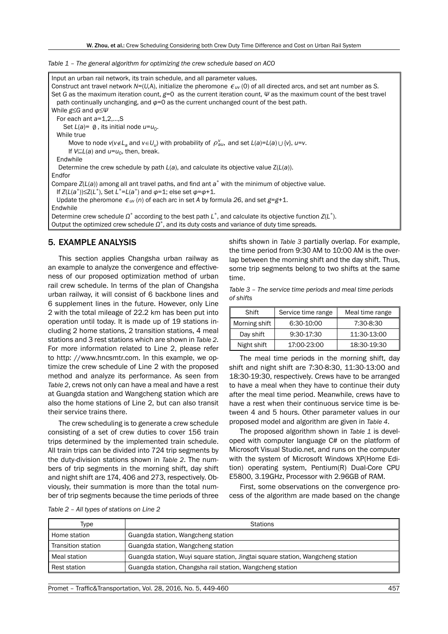*Table 1 – The general algorithm for optimizing the crew schedule based on ACO*

| Input an urban rail network, its train schedule, and all parameter values.<br>Construct ant travel network N=(U,A), initialize the pheromone $\epsilon_{uv}$ (0) of all directed arcs, and set ant number as S. |
|-----------------------------------------------------------------------------------------------------------------------------------------------------------------------------------------------------------------|
| Set G as the maximum iteration count, $g=0$ as the current iteration count, $\Psi$ as the maximum count of the best travel                                                                                      |
| path continually unchanging, and $\varphi = 0$ as the current unchanged count of the best path.                                                                                                                 |
| While $g \leq G$ and $\varphi \leq \psi$                                                                                                                                                                        |
| For each ant $a=1,2,$ , S                                                                                                                                                                                       |
| Set $L(a) = \emptyset$ , its initial node $u = u_0$ .                                                                                                                                                           |
| While true                                                                                                                                                                                                      |
| Move to node $v(v \notin L_a$ and $v \in U_u$ ) with probability of $\rho_{au}^v$ , and set $L(a)=L(a) \cup \{v\}$ , $u=v$ .                                                                                    |
| If $V\subseteq L(a)$ and $u=u_0$ , then, break.                                                                                                                                                                 |
| Endwhile                                                                                                                                                                                                        |
| Determine the crew schedule by path $L(a)$ , and calculate its objective value $Z(L(a))$ .                                                                                                                      |
| Endfor                                                                                                                                                                                                          |
| Compare $Z(L(a))$ among all ant travel paths, and find ant $a^*$ with the minimum of objective value.                                                                                                           |
| If $Z(L(a^*))\leq Z(L^*)$ , Set $L^*=L(a^*)$ and $\varphi=1$ ; else set $\varphi=\varphi+1$ .                                                                                                                   |
| Update the pheromone $\epsilon_{uv}(n)$ of each arc in set A by formula 26, and set $g=q+1$ .                                                                                                                   |
| Endwhile                                                                                                                                                                                                        |
| Determine crew schedule $\Omega^*$ according to the best path $L^*$ , and calculate its objective function $Z(L^*)$ .                                                                                           |
| Output the optimized crew schedule $\Omega^*$ , and its duty costs and variance of duty time spreads.                                                                                                           |

# 5. EXAMPLE ANALYSIS

This section applies Changsha urban railway as an example to analyze the convergence and effectiveness of our proposed optimization method of urban rail crew schedule. In terms of the plan of Changsha urban railway, it will consist of 6 backbone lines and 6 supplement lines in the future. However, only Line 2 with the total mileage of 22.2 km has been put into operation until today. It is made up of 19 stations including 2 home stations, 2 transition stations, 4 meal stations and 3 rest stations which are shown in *Table 2*. For more information related to Line 2, please refer to http: //www.hncsmtr.com. In this example, we optimize the crew schedule of Line 2 with the proposed method and analyze its performance. As seen from *Table 2*, crews not only can have a meal and have a rest at Guangda station and Wangcheng station which are also the home stations of Line 2, but can also transit their service trains there.

The crew scheduling is to generate a crew schedule consisting of a set of crew duties to cover 156 train trips determined by the implemented train schedule. All train trips can be divided into 724 trip segments by the duty-division stations shown in *Table 2*. The numbers of trip segments in the morning shift, day shift and night shift are 174, 406 and 273, respectively. Obviously, their summation is more than the total number of trip segments because the time periods of three

shifts shown in *Table 3* partially overlap. For example, the time period from 9:30 AM to 10:00 AM is the overlap between the morning shift and the day shift. Thus, some trip segments belong to two shifts at the same time.

*Table 3 – The service time periods and meal time periods of shifts*

| Shift         | Service time range | Meal time range |
|---------------|--------------------|-----------------|
| Morning shift | 6:30-10:00         | 7:30-8:30       |
| Day shift     | 9:30-17:30         | 11:30-13:00     |
| Night shift   | 17:00-23:00        | 18:30-19:30     |

The meal time periods in the morning shift, day shift and night shift are 7:30-8:30, 11:30-13:00 and 18:30-19:30, respectively. Crews have to be arranged to have a meal when they have to continue their duty after the meal time period. Meanwhile, crews have to have a rest when their continuous service time is between 4 and 5 hours. Other parameter values in our proposed model and algorithm are given in *Table 4*.

The proposed algorithm shown in *Table 1* is developed with computer language C# on the platform of Microsoft Visual Studio.net, and runs on the computer with the system of Microsoft Windows XP(Home Edition) operating system, Pentium(R) Dual-Core CPU E5800, 3.19GHz, Processor with 2.96GB of RAM.

First, some observations on the convergence process of the algorithm are made based on the change

| Table 2 - All types of stations on Line 2 |  |
|-------------------------------------------|--|
|-------------------------------------------|--|

| Type               | <b>Stations</b>                                                                 |
|--------------------|---------------------------------------------------------------------------------|
| ll Home station    | Guangda station, Wangcheng station                                              |
| Transition station | Guangda station, Wangcheng station                                              |
| Meal station       | Guangda station, Wuyi square station, Jingtai square station, Wangcheng station |
| Rest station       | Guangda station, Changsha rail station, Wangcheng station                       |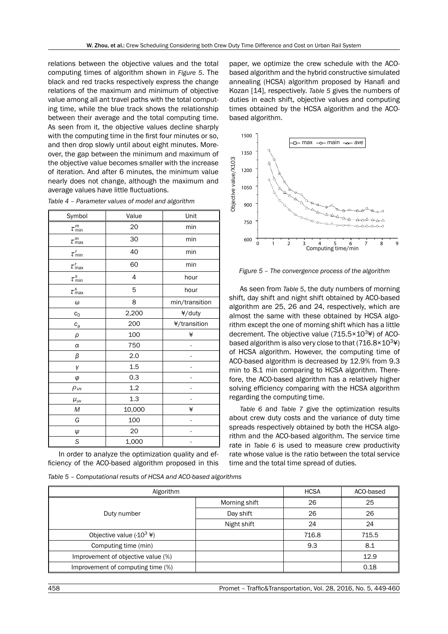relations between the objective values and the total computing times of algorithm shown in *Figure 5*. The black and red tracks respectively express the change relations of the maximum and minimum of objective value among all ant travel paths with the total computing time, while the blue track shows the relationship between their average and the total computing time. As seen from it, the objective values decline sharply with the computing time in the first four minutes or so, and then drop slowly until about eight minutes. Moreover, the gap between the minimum and maximum of the objective value becomes smaller with the increase of iteration. And after 6 minutes, the minimum value nearly does not change, although the maximum and average values have little fluctuations.

| Symbol                      | Value          | Unit           |
|-----------------------------|----------------|----------------|
| $\tau_\text{min}^m$         | 20             | min            |
| $\tau_\text{max}^m$         | 30             | min            |
| $\tau_{\min}^r$             | 40             | min            |
| $\tau_{\rm max}^{\prime}$   | 60             | min            |
| $\tau_{\rm min}^{\rm s}$    | $\overline{4}$ | hour           |
| $\tau_\text{max}^\text{s}$  | 5              | hour           |
| $\omega$                    | 8              | min/transition |
| $c_{0}$                     | 2,200          | ¥/duty         |
| $c_a$                       | 200            | ¥/transition   |
| ρ                           | 100            | ¥              |
| $\alpha$                    | 750            |                |
| β                           | 2.0            |                |
| γ                           | 1.5            |                |
| φ                           | 0.3            |                |
| $\rho_{\textit{\text{uv}}}$ | 1.2            |                |
| $\mu_{uv}$                  | 1.3            |                |
| М                           | 10,000         | ¥              |
| G                           | 100            |                |
| Ψ                           | 20             |                |
| S                           | 1,000          |                |

*Table 4 – Parameter values of model and algorithm*

In order to analyze the optimization quality and efficiency of the ACO-based algorithm proposed in this

*Table 5 – Computational results of HCSA and ACO-based algorithms*

Algorithm **HCSA** ACO-based Duty number Morning shift  $\vert$  26  $\vert$  25 Day shift 1 26 26 Night shift 24 24 Objective value  $(·10<sup>3</sup> )$   $|$  716.8  $|$  715.5 Computing time (min) and the set of the set of the set of the set of the set of the set of the set of the set of the set of the set of the set of the set of the set of the set of the set of the set of the set of the set of Improvement of objective value (%) and the set of the set of the set of the set of the set of the set of the set of the set of the set of the set of the set of the set of the set of the set of the set of the set of the set Improvement of computing time (%) and the computing time (%) on the computing time (%) on the computing time (

paper, we optimize the crew schedule with the ACObased algorithm and the hybrid constructive simulated annealing (HCSA) algorithm proposed by Hanafi and Kozan [14], respectively. *Table 5* gives the numbers of duties in each shift, objective values and computing times obtained by the HCSA algorithm and the ACObased algorithm.



*Figure 5 – The convergence process of the algorithm*

As seen from *Table 5*, the duty numbers of morning shift, day shift and night shift obtained by ACO-based algorithm are 25, 26 and 24, respectively, which are almost the same with these obtained by HCSA algorithm except the one of morning shift which has a little decrement. The objective value ( $715.5 \times 10^{3}$ ) of ACObased algorithm is also very close to that  $(716.8\times10^{34})$ of HCSA algorithm. However, the computing time of ACO-based algorithm is decreased by 12.9% from 9.3 min to 8.1 min comparing to HCSA algorithm. Therefore, the ACO-based algorithm has a relatively higher solving efficiency comparing with the HCSA algorithm regarding the computing time.

*Table 6* and *Table 7* give the optimization results about crew duty costs and the variance of duty time spreads respectively obtained by both the HCSA algorithm and the ACO-based algorithm. The service time rate in *Table 6* is used to measure crew productivity rate whose value is the ratio between the total service time and the total time spread of duties.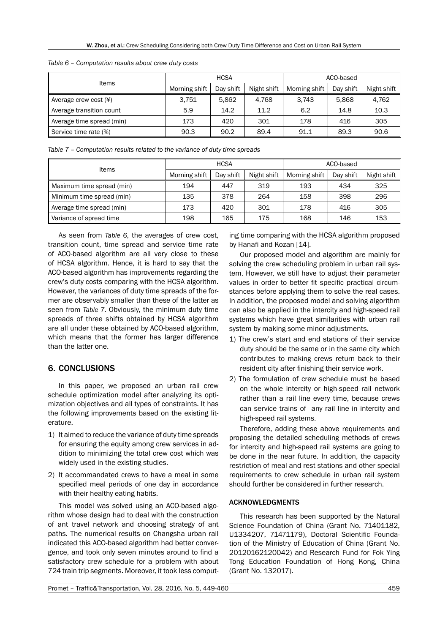| Items                             | <b>HCSA</b>   |           | ACO-based   |               |           |             |
|-----------------------------------|---------------|-----------|-------------|---------------|-----------|-------------|
|                                   | Morning shift | Day shift | Night shift | Morning shift | Day shift | Night shift |
| Average crew cost $(\frac{4}{3})$ | 3.751         | 5.862     | 4.768       | 3.743         | 5.868     | 4,762       |
| Average transition count          | 5.9           | 14.2      | 11.2        | 6.2           | 14.8      | 10.3        |
| Average time spread (min)         | 173           | 420       | 301         | 178           | 416       | 305         |
| Service time rate (%)             | 90.3          | 90.2      | 89.4        | 91.1          | 89.3      | 90.6        |

*Table 6 – Computation results about crew duty costs*

*Table 7 – Computation results related to the variance of duty time spreads*

| <b>Items</b>              | <b>HCSA</b>   |           | ACO-based   |               |           |             |
|---------------------------|---------------|-----------|-------------|---------------|-----------|-------------|
|                           | Morning shift | Day shift | Night shift | Morning shift | Day shift | Night shift |
| Maximum time spread (min) | 194           | 447       | 319         | 193           | 434       | 325         |
| Minimum time spread (min) | 135           | 378       | 264         | 158           | 398       | 296         |
| Average time spread (min) | 173           | 420       | 301         | 178           | 416       | 305         |
| Variance of spread time   | 198           | 165       | 175         | 168           | 146       | 153         |

As seen from *Table 6*, the averages of crew cost, transition count, time spread and service time rate of ACO-based algorithm are all very close to these of HCSA algorithm. Hence, it is hard to say that the ACO-based algorithm has improvements regarding the crew's duty costs comparing with the HCSA algorithm. However, the variances of duty time spreads of the former are observably smaller than these of the latter as seen from *Table 7*. Obviously, the minimum duty time spreads of three shifts obtained by HCSA algorithm are all under these obtained by ACO-based algorithm, which means that the former has larger difference than the latter one.

# 6. CONCLUSIONS

In this paper, we proposed an urban rail crew schedule optimization model after analyzing its optimization objectives and all types of constraints. It has the following improvements based on the existing literature.

- 1) It aimed to reduce the variance of duty time spreads for ensuring the equity among crew services in addition to minimizing the total crew cost which was widely used in the existing studies.
- 2) It accommandated crews to have a meal in some specified meal periods of one day in accordance with their healthy eating habits.

This model was solved using an ACO-based algorithm whose design had to deal with the construction of ant travel network and choosing strategy of ant paths. The numerical results on Changsha urban rail indicated this ACO-based algorithm had better convergence, and took only seven minutes around to find a satisfactory crew schedule for a problem with about 724 train trip segments. Moreover, it took less computing time comparing with the HCSA algorithm proposed by Hanafi and Kozan [14].

Our proposed model and algorithm are mainly for solving the crew scheduling problem in urban rail system. However, we still have to adjust their parameter values in order to better fit specific practical circumstances before applying them to solve the real cases. In addition, the proposed model and solving algorithm can also be applied in the intercity and high-speed rail systems which have great similarities with urban rail system by making some minor adjustments.

- 1) The crew's start and end stations of their service duty should be the same or in the same city which contributes to making crews return back to their resident city after finishing their service work.
- 2) The formulation of crew schedule must be based on the whole intercity or high-speed rail network rather than a rail line every time, because crews can service trains of any rail line in intercity and high-speed rail systems.

Therefore, adding these above requirements and proposing the detailed scheduling methods of crews for intercity and high-speed rail systems are going to be done in the near future. In addition, the capacity restriction of meal and rest stations and other special requirements to crew schedule in urban rail system should further be considered in further research.

## ACKNOWLEDGMENTS

This research has been supported by the Natural Science Foundation of China (Grant No. 71401182, U1334207, 71471179), Doctoral Scientific Foundation of the Ministry of Education of China (Grant No. 20120162120042) and Research Fund for Fok Ying Tong Education Foundation of Hong Kong, China (Grant No. 132017).